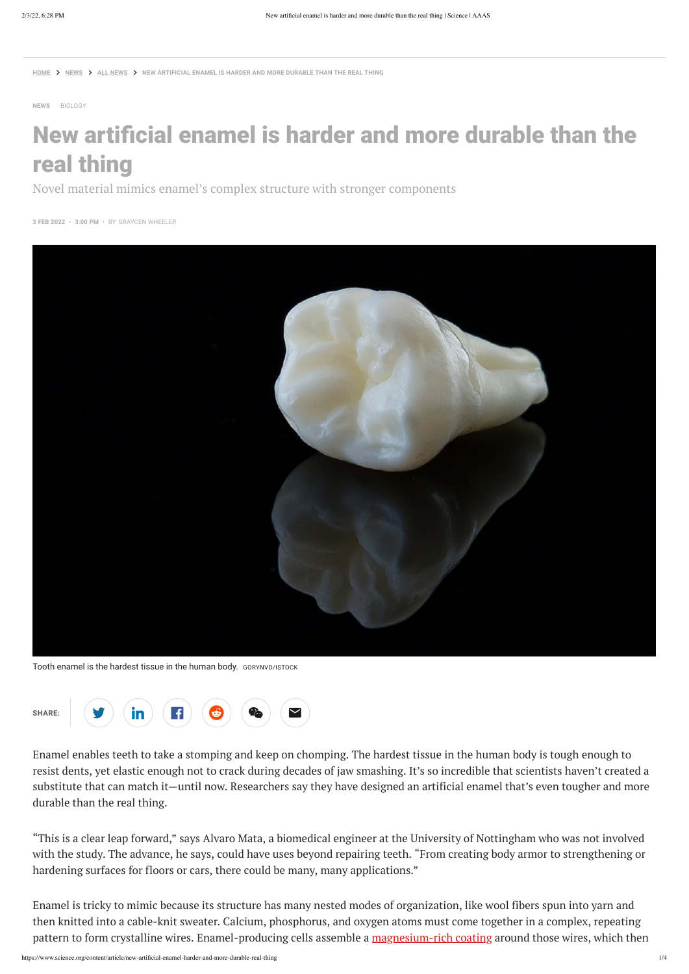$\overline{HOME}$  $\overline{HOME}$  $\overline{HOME}$  >  $\overline{NENS}$  >  $\overline{ALLNENS}$  >  $\overline{NEW}$  artificial enamel is harder and more durable than the real thing

**[NEWS](https://www.science.org/news/all-news)** [BIOLOGY](https://www.science.org/topic/category/biology)

# New artificial enamel is harder and more durable than the real thing

Novel material mimics enamel's complex structure with stronger components

**3 FEB 2022** • **3:00 PM** • BY GRAYCEN [WHEELER](https://www.science.org/content/author/graycen-wheeler)



Tooth enamel is the hardest tissue in the human body. GORYNVD/ISTOCK

Enamel is tricky to mimic because its structure has many nested modes of organization, like wool fibers spun into yarn and then knitted into a cable-knit sweater. Calcium, phosphorus, and oxygen atoms must come together in a complex, repeating pattern to form crystalline wires. Enamel-producing cells assemble a [magnesium-rich](https://www.science.org/doi/10.1126/sciadv.1601145) coating around those wires, which then

Enamel enables teeth to take a stomping and keep on chomping. The hardest tissue in the human body is tough enough to resist dents, yet elastic enough not to crack during decades of jaw smashing. It's so incredible that scientists haven't created a substitute that can match it—until now. Researchers say they have designed an artificial enamel that's even tougher and more durable than the real thing.

"This is a clear leap forward," says Alvaro Mata, a biomedical engineer at the University of Nottingham who was not involved with the study. The advance, he says, could have uses beyond repairing teeth. "From creating body armor to strengthening or hardening surfaces for floors or cars, there could be many, many applications."